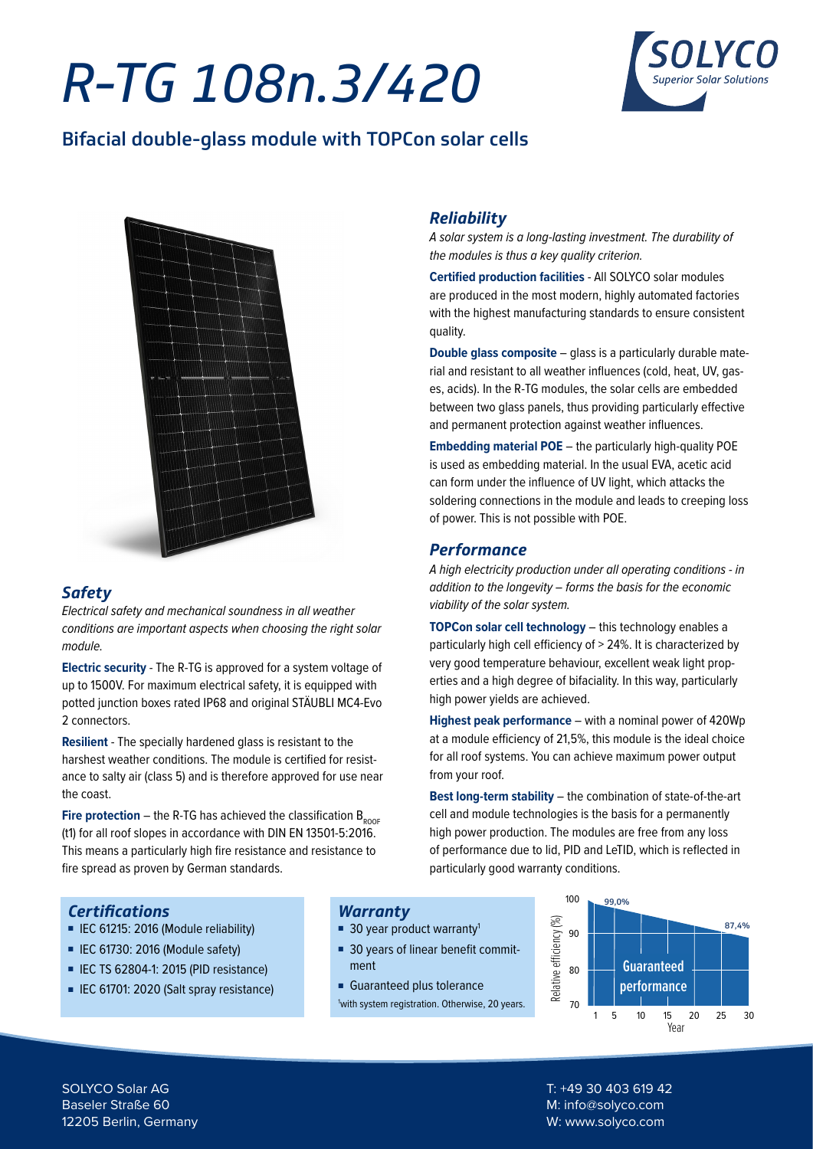# *R-TG 108n.3/420*



### Bifacial double-glass module with TOPCon solar cells



### *Safety*

*Electrical safety and mechanical soundness in all weather conditions are important aspects when choosing the right solar module.* 

**Electric security** - The R-TG is approved for a system voltage of up to 1500V. For maximum electrical safety, it is equipped with potted junction boxes rated IP68 and original STÄUBLI MC4-Evo 2 connectors.

**Resilient** - The specially hardened glass is resistant to the harshest weather conditions. The module is certified for resistance to salty air (class 5) and is therefore approved for use near the coast.

**Fire protection** – the R-TG has achieved the classification  $B_{\text{ROOF}}$ (t1) for all roof slopes in accordance with DIN EN 13501-5:2016. This means a particularly high fire resistance and resistance to fire spread as proven by German standards.

### *Reliability*

*A solar system is a long-lasting investment. The durability of the modules is thus a key quality criterion.*

**Certified production facilities** - All SOLYCO solar modules are produced in the most modern, highly automated factories with the highest manufacturing standards to ensure consistent quality.

**Double glass composite** – glass is a particularly durable material and resistant to all weather influences (cold, heat, UV, gases, acids). In the R-TG modules, the solar cells are embedded between two glass panels, thus providing particularly effective and permanent protection against weather influences.

**Embedding material POE** – the particularly high-quality POE is used as embedding material. In the usual EVA, acetic acid can form under the influence of UV light, which attacks the soldering connections in the module and leads to creeping loss of power. This is not possible with POE.

### *Performance*

*A high electricity production under all operating conditions - in addition to the longevity – forms the basis for the economic viability of the solar system.* 

**TOPCon solar cell technology** – this technology enables a particularly high cell efficiency of > 24%. It is characterized by very good temperature behaviour, excellent weak light properties and a high degree of bifaciality. In this way, particularly high power yields are achieved.

**Highest peak performance** – with a nominal power of 420Wp at a module efficiency of 21,5%, this module is the ideal choice for all roof systems. You can achieve maximum power output from your roof.

**Best long-term stability** – the combination of state-of-the-art cell and module technologies is the basis for a permanently high power production. The modules are free from any loss of performance due to lid, PID and LeTID, which is reflected in particularly good warranty conditions.

### *Certifications*

- IEC 61215: 2016 (Module reliability)
- IEC 61730: 2016 (Module safety)
- IEC TS 62804-1: 2015 (PID resistance)
- IEC 61701: 2020 (Salt spray resistance)

### *Warranty*

- 30 year product warranty<sup>1</sup>
- 30 years of linear benefit commitment
- Guaranteed plus tolerance 1 with system registration. Otherwise, 20 years.



SOLYCO Solar AG Baseler Straße 60 12205 Berlin, Germany

T: +49 30 403 619 42 M: info@solyco.com W: www.solyco.com